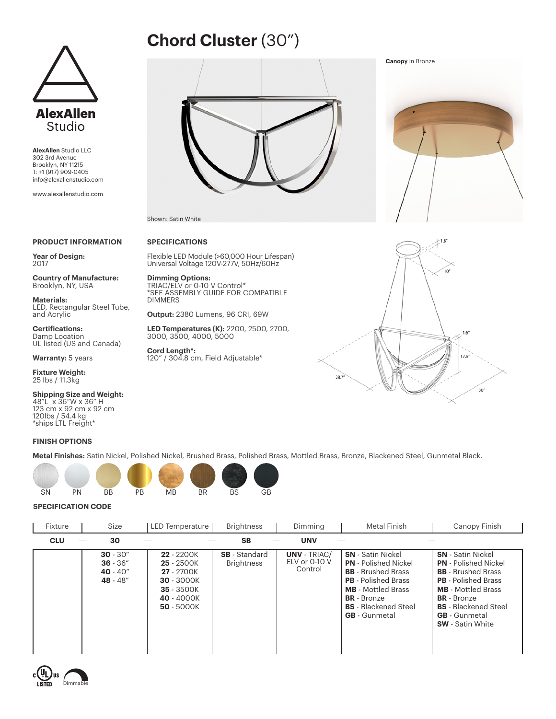

www.alexallenstudio.com

#### **PRODUCT INFORMATION**

**Year of Design:** 2017

**Country of Manufacture:**  Brooklyn, NY, USA

**Materials:**  LED, Rectangular Steel Tube, and Acrylic

**Certifications:** Damp Location UL listed (US and Canada)

**Warranty:** 5 years

**Fixture Weight:**  25 lbs / 11.3kg

**Shipping Size and Weight:** 48"L x 36"W x 36" H 123 cm x 92 cm x 92 cm 120lbs / 54.4 kg \*ships LTL Freight\*

#### **FINISH OPTIONS**

**Metal Finishes:** Satin Nickel, Polished Nickel, Brushed Brass, Polished Brass, Mottled Brass, Bronze, Blackened Steel, Gunmetal Black.



#### **SPECIFICATION CODE**

| Fixture    | Size                                               | LED Temperature                                                                                                  | <b>Brightness</b>                         | Dimming                                         | Metal Finish                                                                                                                                                                                                                 | Canopy Finish                                                                                                                                                                                                                                           |
|------------|----------------------------------------------------|------------------------------------------------------------------------------------------------------------------|-------------------------------------------|-------------------------------------------------|------------------------------------------------------------------------------------------------------------------------------------------------------------------------------------------------------------------------------|---------------------------------------------------------------------------------------------------------------------------------------------------------------------------------------------------------------------------------------------------------|
| <b>CLU</b> | 30                                                 |                                                                                                                  | <b>SB</b>                                 | <b>UNV</b>                                      |                                                                                                                                                                                                                              |                                                                                                                                                                                                                                                         |
|            | $30 - 30"$<br>$36 - 36"$<br>$40 - 40"$<br>48 - 48" | 22 - 2200K<br>$25 - 2500K$<br><b>27</b> - 2700K<br><b>30 - 3000K</b><br>35 - 3500K<br>40 - 4000K<br>$50 - 5000K$ | <b>SB</b> - Standard<br><b>Brightness</b> | <b>UNV - TRIAC/</b><br>ELV or 0-10 V<br>Control | <b>SN</b> - Satin Nickel<br><b>PN</b> - Polished Nickel<br><b>BB</b> - Brushed Brass<br><b>PB</b> - Polished Brass<br><b>MB</b> - Mottled Brass<br><b>BR</b> - Bronze<br><b>BS</b> - Blackened Steel<br><b>GB</b> - Gunmetal | <b>SN</b> - Satin Nickel<br><b>PN</b> - Polished Nickel<br><b>BB</b> - Brushed Brass<br><b>PB</b> - Polished Brass<br><b>MB</b> - Mottled Brass<br><b>BR</b> - Bronze<br><b>BS</b> - Blackened Steel<br><b>GB</b> - Gunmetal<br><b>SW</b> - Satin White |



Shown: Satin White

#### **SPECIFICATIONS**

Flexible LED Module (>60,000 Hour Lifespan) Universal Voltage 120V-277V, 50Hz/60Hz

**Chord Cluster** (30")

**Dimming Options:** TRIAC/ELV or 0-10 V Control\* \*SEE ASSEMBLY GUIDE FOR COMPATIBLE DIMMERS

**Output:** 2380 Lumens, 96 CRI, 69W

**LED Temperatures (K):** 2200, 2500, 2700,<br>3000, 3500, 4000, 5000

**Cord Length\*:**<br>120″ / 304.8 cm, Field Adjustable\*







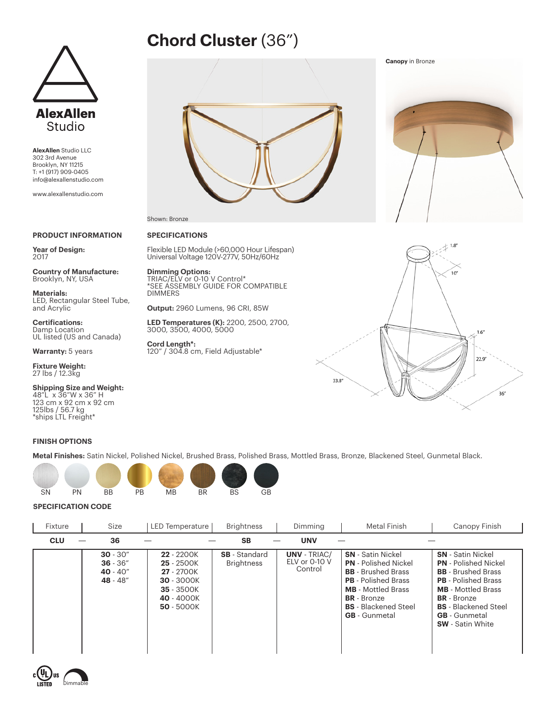

www.alexallenstudio.com

### **PRODUCT INFORMATION**

**Year of Design:**

**Country of Manufacture:** 

**Materials:**  LED, Rectangular Steel Tube, and Acrylic

**Certifications:** Damp Location

**Warranty:** 5 years

**Fixture Weight:**  27 lbs / 12.3kg

**Shipping Size and Weight:** 48"L x 36"W x 36" H 123 cm x 92 cm x 92 cm 125lbs / 56.7 kg \*ships LTL Freight\*

### **FINISH OPTIONS**

**Metal Finishes:** Satin Nickel, Polished Nickel, Brushed Brass, Polished Brass, Mottled Brass, Bronze, Blackened Steel, Gunmetal Black.



#### **SPECIFICATION CODE**

| Fixture    | Size                                               | <b>LED Temperature</b>                                                                                           | <b>Brightness</b>                         | Dimming                                         | Metal Finish                                                                                                                                                                                                                 | Canopy Finish                                                                                                                                                                                                                                           |
|------------|----------------------------------------------------|------------------------------------------------------------------------------------------------------------------|-------------------------------------------|-------------------------------------------------|------------------------------------------------------------------------------------------------------------------------------------------------------------------------------------------------------------------------------|---------------------------------------------------------------------------------------------------------------------------------------------------------------------------------------------------------------------------------------------------------|
| <b>CLU</b> | 36                                                 |                                                                                                                  | <b>SB</b>                                 | <b>UNV</b>                                      |                                                                                                                                                                                                                              |                                                                                                                                                                                                                                                         |
|            | $30 - 30"$<br>$36 - 36"$<br>$40 - 40"$<br>48 - 48" | 22 - 2200K<br>$25 - 2500K$<br><b>27</b> - 2700K<br><b>30 - 3000K</b><br>35 - 3500K<br>40 - 4000K<br>$50 - 5000K$ | <b>SB</b> - Standard<br><b>Brightness</b> | <b>UNV - TRIAC/</b><br>ELV or 0-10 V<br>Control | <b>SN</b> - Satin Nickel<br><b>PN</b> - Polished Nickel<br><b>BB</b> - Brushed Brass<br><b>PB</b> - Polished Brass<br><b>MB</b> - Mottled Brass<br><b>BR</b> - Bronze<br><b>BS</b> - Blackened Steel<br><b>GB</b> - Gunmetal | <b>SN</b> - Satin Nickel<br><b>PN</b> - Polished Nickel<br><b>BB</b> - Brushed Brass<br><b>PB</b> - Polished Brass<br><b>MB</b> - Mottled Brass<br><b>BR</b> - Bronze<br><b>BS</b> - Blackened Steel<br><b>GB</b> - Gunmetal<br><b>SW</b> - Satin White |

2017

Brooklyn, NY, USA

UL listed (US and Canada)

# **Cord Length\*:**<br>120″ / 304.8 cm, Field Adjustable\*

**SPECIFICATIONS**

Shown: Bronze

DIMMERS

**Dimming Options:** TRIAC/ELV or 0-10 V Control\*

Flexible LED Module (>60,000 Hour Lifespan) Universal Voltage 120V-277V, 50Hz/60Hz

**Chord Cluster** (36")

\*SEE ASSEMBLY GUIDE FOR COMPATIBLE

**LED Temperatures (K):** 2200, 2500, 2700,<br>3000, 3500, 4000, 5000

**Output:** 2960 Lumens, 96 CRI, 85W





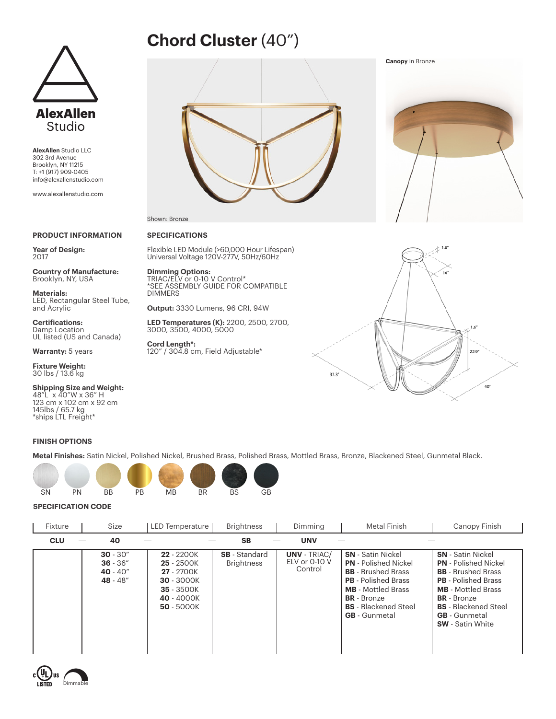

### **PRODUCT INFORMATION**

**Year of Design:** 2017

**Country of Manufacture:**  Brooklyn, NY, USA

**Materials:**  LED, Rectangular Steel Tube, and Acrylic

**Certifications:** Damp Location UL listed (US and Canada)

**Warranty:** 5 years

**Fixture Weight:**  30 lbs / 13.6 kg

**Shipping Size and Weight:** 48"L x 40"W x 36" H 123 cm x 102 cm x 92 cm 145lbs / 65.7 kg \*ships LTL Freight\*

### **FINISH OPTIONS**

**Metal Finishes:** Satin Nickel, Polished Nickel, Brushed Brass, Polished Brass, Mottled Brass, Bronze, Blackened Steel, Gunmetal Black.



#### **SPECIFICATION CODE**

| Fixture    | Size                                               | <b>LED Temperature</b>                                                                                             | <b>Brightness</b>                         | Dimming                                         | Metal Finish                                                                                                                                                                                                                 | Canopy Finish                                                                                                                                                                                                                                           |
|------------|----------------------------------------------------|--------------------------------------------------------------------------------------------------------------------|-------------------------------------------|-------------------------------------------------|------------------------------------------------------------------------------------------------------------------------------------------------------------------------------------------------------------------------------|---------------------------------------------------------------------------------------------------------------------------------------------------------------------------------------------------------------------------------------------------------|
| <b>CLU</b> | 40                                                 |                                                                                                                    | <b>SB</b>                                 | <b>UNV</b>                                      |                                                                                                                                                                                                                              |                                                                                                                                                                                                                                                         |
|            | $30 - 30"$<br>$36 - 36"$<br>$40 - 40"$<br>48 - 48" | $22 - 2200K$<br>$25 - 2500K$<br><b>27</b> - 2700K<br><b>30 - 3000K</b><br>35 - 3500K<br>40 - 4000K<br>$50 - 5000K$ | <b>SB</b> - Standard<br><b>Brightness</b> | <b>UNV - TRIAC/</b><br>ELV or 0-10 V<br>Control | <b>SN</b> - Satin Nickel<br><b>PN</b> - Polished Nickel<br><b>BB</b> - Brushed Brass<br><b>PB</b> - Polished Brass<br><b>MB</b> - Mottled Brass<br><b>BR</b> - Bronze<br><b>BS</b> - Blackened Steel<br><b>GB</b> - Gunmetal | <b>SN</b> - Satin Nickel<br><b>PN</b> - Polished Nickel<br><b>BB</b> - Brushed Brass<br><b>PB</b> - Polished Brass<br><b>MB</b> - Mottled Brass<br><b>BR</b> - Bronze<br><b>BS</b> - Blackened Steel<br><b>GB</b> - Gunmetal<br><b>SW</b> - Satin White |

www.alexallenstudio.com



# **SPECIFICATIONS** Shown: Bronze

Flexible LED Module (>60,000 Hour Lifespan) Universal Voltage 120V-277V, 50Hz/60Hz

**Dimming Options:** TRIAC/ELV or 0-10 V Control\* \*SEE ASSEMBLY GUIDE FOR COMPATIBLE DIMMERS

**Output:** 3330 Lumens, 96 CRI, 94W

**LED Temperatures (K):** 2200, 2500, 2700,<br>3000, 3500, 4000, 5000

**Cord Length\*:**<br>120″ / 304.8 cm, Field Adjustable\*